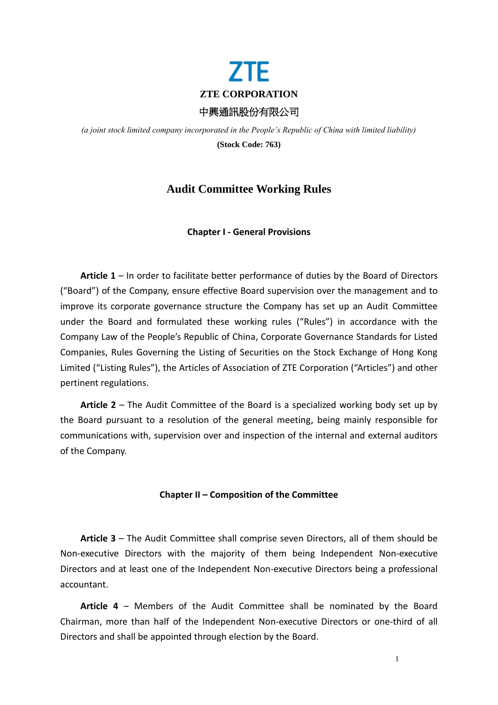

*(a joint stock limited company incorporated in the People's Republic of China with limited liability)* **(Stock Code: 763)**

# **Audit Committee Working Rules**

# **Chapter I - General Provisions**

**Article 1** – In order to facilitate better performance of duties by the Board of Directors ("Board") of the Company, ensure effective Board supervision over the management and to improve its corporate governance structure the Company has set up an Audit Committee under the Board and formulated these working rules ("Rules") in accordance with the Company Law of the People's Republic of China, Corporate Governance Standards for Listed Companies, Rules Governing the Listing of Securities on the Stock Exchange of Hong Kong Limited ("Listing Rules"), the Articles of Association of ZTE Corporation ("Articles") and other pertinent regulations.

**Article 2** – The Audit Committee of the Board is a specialized working body set up by the Board pursuant to a resolution of the general meeting, being mainly responsible for communications with, supervision over and inspection of the internal and external auditors of the Company.

## **Chapter II – Composition of the Committee**

**Article 3** – The Audit Committee shall comprise seven Directors, all of them should be Non-executive Directors with the majority of them being Independent Non-executive Directors and at least one of the Independent Non-executive Directors being a professional accountant.

**Article 4** – Members of the Audit Committee shall be nominated by the Board Chairman, more than half of the Independent Non-executive Directors or one-third of all Directors and shall be appointed through election by the Board.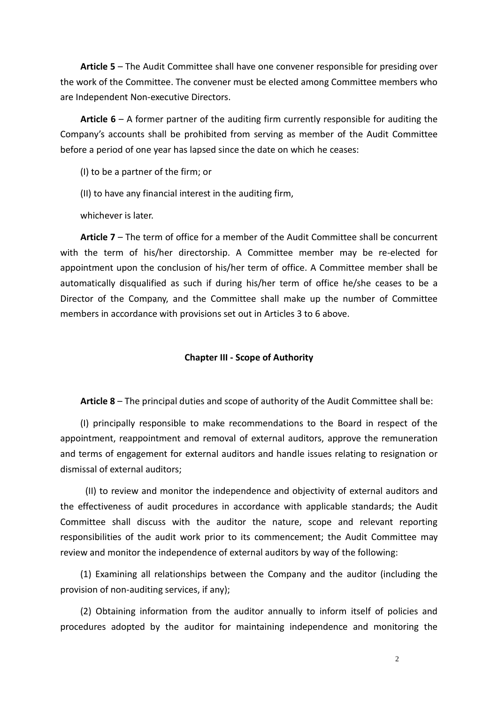**Article 5** – The Audit Committee shall have one convener responsible for presiding over the work of the Committee. The convener must be elected among Committee members who are Independent Non-executive Directors.

**Article 6** – A former partner of the auditing firm currently responsible for auditing the Company's accounts shall be prohibited from serving as member of the Audit Committee before a period of one year has lapsed since the date on which he ceases:

(I) to be a partner of the firm; or

(II) to have any financial interest in the auditing firm,

whichever is later.

**Article 7** – The term of office for a member of the Audit Committee shall be concurrent with the term of his/her directorship. A Committee member may be re-elected for appointment upon the conclusion of his/her term of office. A Committee member shall be automatically disqualified as such if during his/her term of office he/she ceases to be a Director of the Company, and the Committee shall make up the number of Committee members in accordance with provisions set out in Articles 3 to 6 above.

## **Chapter III - Scope of Authority**

**Article 8** – The principal duties and scope of authority of the Audit Committee shall be:

(I) principally responsible to make recommendations to the Board in respect of the appointment, reappointment and removal of external auditors, approve the remuneration and terms of engagement for external auditors and handle issues relating to resignation or dismissal of external auditors;

(II) to review and monitor the independence and objectivity of external auditors and the effectiveness of audit procedures in accordance with applicable standards; the Audit Committee shall discuss with the auditor the nature, scope and relevant reporting responsibilities of the audit work prior to its commencement; the Audit Committee may review and monitor the independence of external auditors by way of the following:

(1) Examining all relationships between the Company and the auditor (including the provision of non-auditing services, if any);

(2) Obtaining information from the auditor annually to inform itself of policies and procedures adopted by the auditor for maintaining independence and monitoring the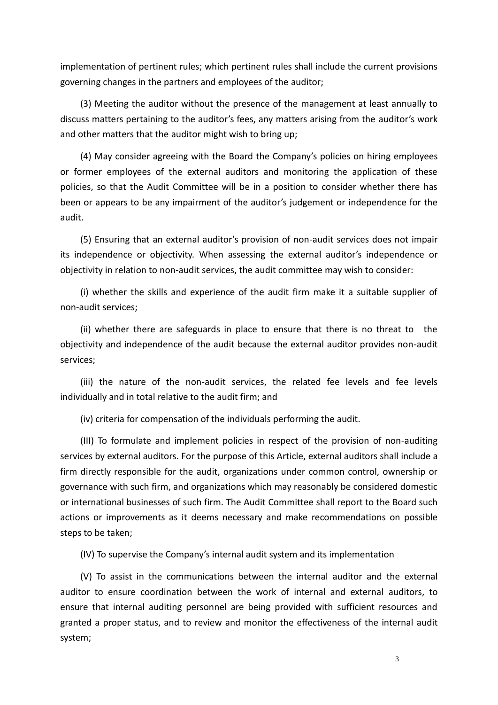implementation of pertinent rules; which pertinent rules shall include the current provisions governing changes in the partners and employees of the auditor;

(3) Meeting the auditor without the presence of the management at least annually to discuss matters pertaining to the auditor's fees, any matters arising from the auditor's work and other matters that the auditor might wish to bring up;

(4) May consider agreeing with the Board the Company's policies on hiring employees or former employees of the external auditors and monitoring the application of these policies, so that the Audit Committee will be in a position to consider whether there has been or appears to be any impairment of the auditor's judgement or independence for the audit.

(5) Ensuring that an external auditor's provision of non-audit services does not impair its independence or objectivity. When assessing the external auditor's independence or objectivity in relation to non-audit services, the audit committee may wish to consider:

(i) whether the skills and experience of the audit firm make it a suitable supplier of non-audit services;

(ii) whether there are safeguards in place to ensure that there is no threat to the objectivity and independence of the audit because the external auditor provides non-audit services;

(iii) the nature of the non-audit services, the related fee levels and fee levels individually and in total relative to the audit firm; and

(iv) criteria for compensation of the individuals performing the audit.

(III) To formulate and implement policies in respect of the provision of non-auditing services by external auditors. For the purpose of this Article, external auditors shall include a firm directly responsible for the audit, organizations under common control, ownership or governance with such firm, and organizations which may reasonably be considered domestic or international businesses of such firm. The Audit Committee shall report to the Board such actions or improvements as it deems necessary and make recommendations on possible steps to be taken;

(IV) To supervise the Company's internal audit system and its implementation

(V) To assist in the communications between the internal auditor and the external auditor to ensure coordination between the work of internal and external auditors, to ensure that internal auditing personnel are being provided with sufficient resources and granted a proper status, and to review and monitor the effectiveness of the internal audit system;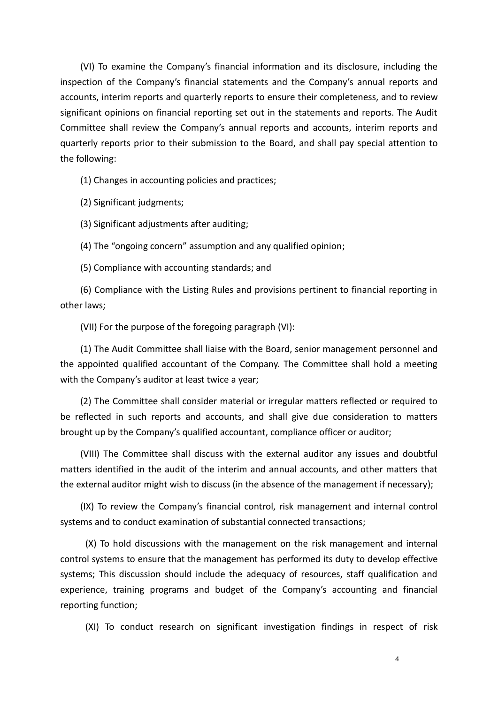(VI) To examine the Company's financial information and its disclosure, including the inspection of the Company's financial statements and the Company's annual reports and accounts, interim reports and quarterly reports to ensure their completeness, and to review significant opinions on financial reporting set out in the statements and reports. The Audit Committee shall review the Company's annual reports and accounts, interim reports and quarterly reports prior to their submission to the Board, and shall pay special attention to the following:

(1) Changes in accounting policies and practices;

(2) Significant judgments;

(3) Significant adjustments after auditing;

(4) The "ongoing concern" assumption and any qualified opinion;

(5) Compliance with accounting standards; and

(6) Compliance with the Listing Rules and provisions pertinent to financial reporting in other laws;

(VII) For the purpose of the foregoing paragraph (VI):

(1) The Audit Committee shall liaise with the Board, senior management personnel and the appointed qualified accountant of the Company. The Committee shall hold a meeting with the Company's auditor at least twice a year;

(2) The Committee shall consider material or irregular matters reflected or required to be reflected in such reports and accounts, and shall give due consideration to matters brought up by the Company's qualified accountant, compliance officer or auditor;

(VIII) The Committee shall discuss with the external auditor any issues and doubtful matters identified in the audit of the interim and annual accounts, and other matters that the external auditor might wish to discuss (in the absence of the management if necessary);

(IX) To review the Company's financial control, risk management and internal control systems and to conduct examination of substantial connected transactions;

(X) To hold discussions with the management on the risk management and internal control systems to ensure that the management has performed its duty to develop effective systems; This discussion should include the adequacy of resources, staff qualification and experience, training programs and budget of the Company's accounting and financial reporting function;

(XI) To conduct research on significant investigation findings in respect of risk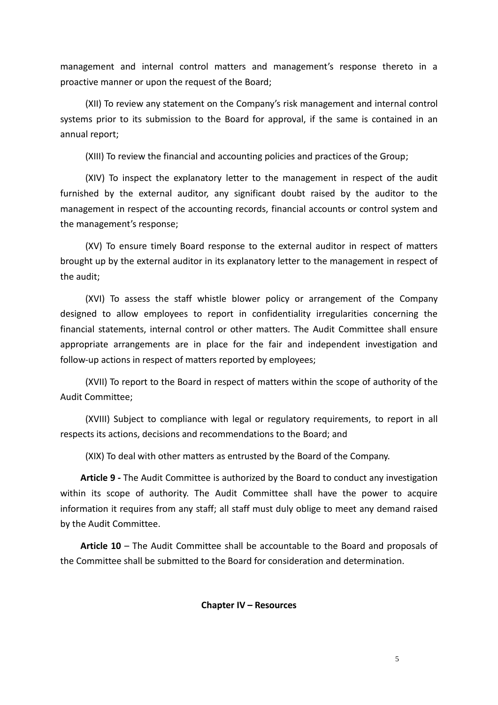management and internal control matters and management's response thereto in a proactive manner or upon the request of the Board;

(XII) To review any statement on the Company's risk management and internal control systems prior to its submission to the Board for approval, if the same is contained in an annual report;

(XIII) To review the financial and accounting policies and practices of the Group;

(XIV) To inspect the explanatory letter to the management in respect of the audit furnished by the external auditor, any significant doubt raised by the auditor to the management in respect of the accounting records, financial accounts or control system and the management's response;

(XV) To ensure timely Board response to the external auditor in respect of matters brought up by the external auditor in its explanatory letter to the management in respect of the audit;

(XVI) To assess the staff whistle blower policy or arrangement of the Company designed to allow employees to report in confidentiality irregularities concerning the financial statements, internal control or other matters. The Audit Committee shall ensure appropriate arrangements are in place for the fair and independent investigation and follow-up actions in respect of matters reported by employees;

(XVII) To report to the Board in respect of matters within the scope of authority of the Audit Committee;

(XVIII) Subject to compliance with legal or regulatory requirements, to report in all respects its actions, decisions and recommendations to the Board; and

(XIX) To deal with other matters as entrusted by the Board of the Company.

**Article 9 -** The Audit Committee is authorized by the Board to conduct any investigation within its scope of authority. The Audit Committee shall have the power to acquire information it requires from any staff; all staff must duly oblige to meet any demand raised by the Audit Committee.

**Article 10** – The Audit Committee shall be accountable to the Board and proposals of the Committee shall be submitted to the Board for consideration and determination.

## **Chapter IV – Resources**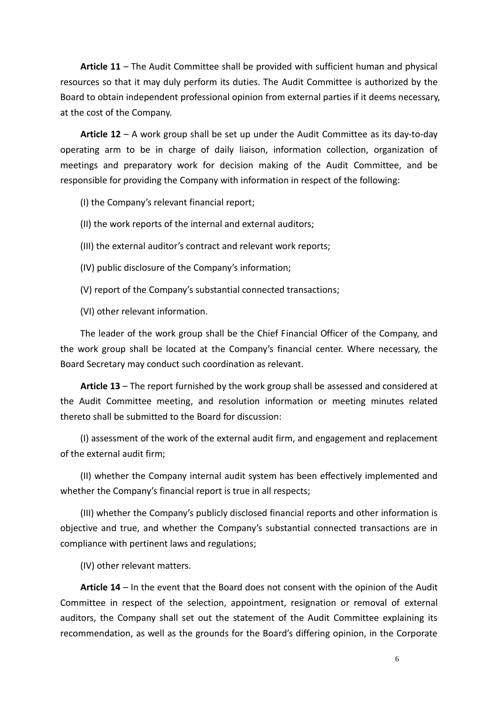**Article 11** – The Audit Committee shall be provided with sufficient human and physical resources so that it may duly perform its duties. The Audit Committee is authorized by the Board to obtain independent professional opinion from external parties if it deems necessary, at the cost of the Company.

**Article 12** – A work group shall be set up under the Audit Committee as its day-to-day operating arm to be in charge of daily liaison, information collection, organization of meetings and preparatory work for decision making of the Audit Committee, and be responsible for providing the Company with information in respect of the following:

(I) the Company's relevant financial report;

(II) the work reports of the internal and external auditors;

(III) the external auditor's contract and relevant work reports;

(IV) public disclosure of the Company's information;

(V) report of the Company's substantial connected transactions;

(VI) other relevant information.

The leader of the work group shall be the Chief Financial Officer of the Company, and the work group shall be located at the Company's financial center. Where necessary, the Board Secretary may conduct such coordination as relevant.

**Article 13** – The report furnished by the work group shall be assessed and considered at the Audit Committee meeting, and resolution information or meeting minutes related thereto shall be submitted to the Board for discussion:

(I) assessment of the work of the external audit firm, and engagement and replacement of the external audit firm;

(II) whether the Company internal audit system has been effectively implemented and whether the Company's financial report is true in all respects;

(III) whether the Company's publicly disclosed financial reports and other information is objective and true, and whether the Company's substantial connected transactions are in compliance with pertinent laws and regulations;

(IV) other relevant matters.

**Article 14** – In the event that the Board does not consent with the opinion of the Audit Committee in respect of the selection, appointment, resignation or removal of external auditors, the Company shall set out the statement of the Audit Committee explaining its recommendation, as well as the grounds for the Board's differing opinion, in the Corporate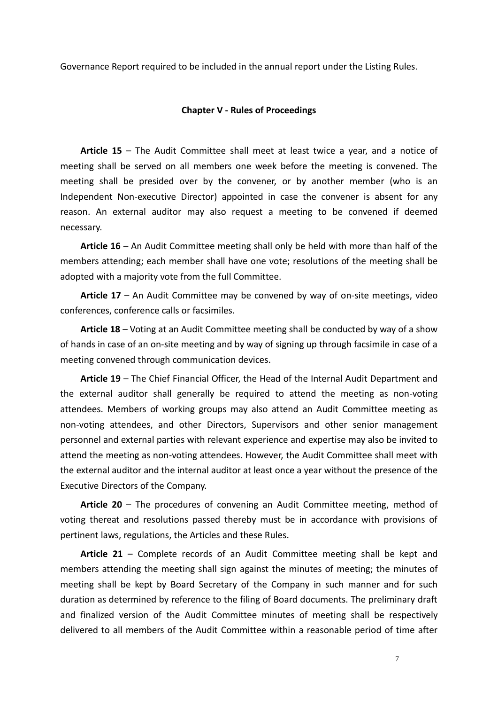Governance Report required to be included in the annual report under the Listing Rules.

## **Chapter V - Rules of Proceedings**

**Article 15** – The Audit Committee shall meet at least twice a year, and a notice of meeting shall be served on all members one week before the meeting is convened. The meeting shall be presided over by the convener, or by another member (who is an Independent Non-executive Director) appointed in case the convener is absent for any reason. An external auditor may also request a meeting to be convened if deemed necessary.

**Article 16** – An Audit Committee meeting shall only be held with more than half of the members attending; each member shall have one vote; resolutions of the meeting shall be adopted with a majority vote from the full Committee.

**Article 17** – An Audit Committee may be convened by way of on-site meetings, video conferences, conference calls or facsimiles.

**Article 18** – Voting at an Audit Committee meeting shall be conducted by way of a show of hands in case of an on-site meeting and by way of signing up through facsimile in case of a meeting convened through communication devices.

**Article 19** – The Chief Financial Officer, the Head of the Internal Audit Department and the external auditor shall generally be required to attend the meeting as non-voting attendees. Members of working groups may also attend an Audit Committee meeting as non-voting attendees, and other Directors, Supervisors and other senior management personnel and external parties with relevant experience and expertise may also be invited to attend the meeting as non-voting attendees. However, the Audit Committee shall meet with the external auditor and the internal auditor at least once a year without the presence of the Executive Directors of the Company.

**Article 20** – The procedures of convening an Audit Committee meeting, method of voting thereat and resolutions passed thereby must be in accordance with provisions of pertinent laws, regulations, the Articles and these Rules.

**Article 21** – Complete records of an Audit Committee meeting shall be kept and members attending the meeting shall sign against the minutes of meeting; the minutes of meeting shall be kept by Board Secretary of the Company in such manner and for such duration as determined by reference to the filing of Board documents. The preliminary draft and finalized version of the Audit Committee minutes of meeting shall be respectively delivered to all members of the Audit Committee within a reasonable period of time after